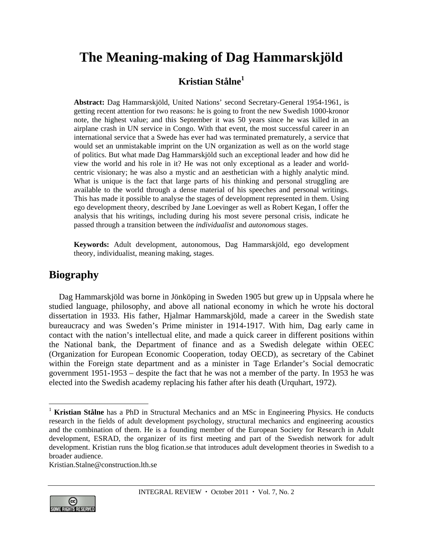# **The Meaning-making of Dag Hammarskjöld**

## **Kristian Stålne<sup>1</sup>**

**Abstract:** Dag Hammarskjöld, United Nations' second Secretary-General 1954-1961, is getting recent attention for two reasons: he is going to front the new Swedish 1000-kronor note, the highest value; and this September it was 50 years since he was killed in an airplane crash in UN service in Congo. With that event, the most successful career in an international service that a Swede has ever had was terminated prematurely, a service that would set an unmistakable imprint on the UN organization as well as on the world stage of politics. But what made Dag Hammarskjöld such an exceptional leader and how did he view the world and his role in it? He was not only exceptional as a leader and worldcentric visionary; he was also a mystic and an aesthetician with a highly analytic mind. What is unique is the fact that large parts of his thinking and personal struggling are available to the world through a dense material of his speeches and personal writings. This has made it possible to analyse the stages of development represented in them. Using ego development theory, described by Jane Loevinger as well as Robert Kegan, I offer the analysis that his writings, including during his most severe personal crisis, indicate he passed through a transition between the *individualist* and *autonomous* stages.

**Keywords:** Adult development, autonomous, Dag Hammarskjöld, ego development theory, individualist, meaning making, stages.

# **Biography**

Dag Hammarskjöld was borne in Jönköping in Sweden 1905 but grew up in Uppsala where he studied language, philosophy, and above all national economy in which he wrote his doctoral dissertation in 1933. His father, Hjalmar Hammarskjöld, made a career in the Swedish state bureaucracy and was Sweden's Prime minister in 1914-1917. With him, Dag early came in contact with the nation's intellectual elite, and made a quick career in different positions within the National bank, the Department of finance and as a Swedish delegate within OEEC (Organization for European Economic Cooperation, today OECD), as secretary of the Cabinet within the Foreign state department and as a minister in Tage Erlander's Social democratic government 1951-1953 – despite the fact that he was not a member of the party. In 1953 he was elected into the Swedish academy replacing his father after his death (Urquhart, 1972).

Kristian.Stalne@construction.lth.se



 $\overline{a}$ 

<sup>&</sup>lt;sup>1</sup> Kristian Stålne has a PhD in Structural Mechanics and an MSc in Engineering Physics. He conducts research in the fields of adult development psychology, structural mechanics and engineering acoustics and the combination of them. He is a founding member of the European Society for Research in Adult development, ESRAD, the organizer of its first meeting and part of the Swedish network for adult development. Kristian runs the blog fication.se that introduces adult development theories in Swedish to a broader audience.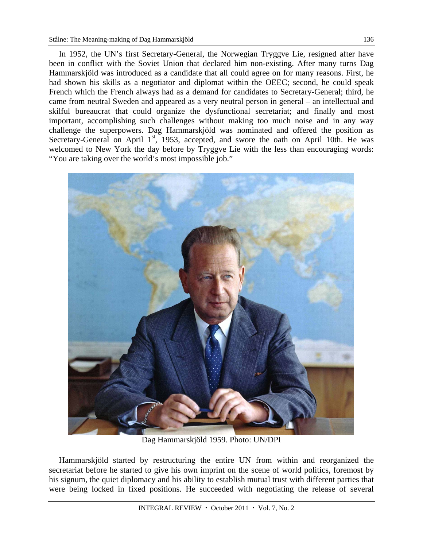In 1952, the UN's first Secretary-General, the Norwegian Tryggve Lie, resigned after have been in conflict with the Soviet Union that declared him non-existing. After many turns Dag Hammarskjöld was introduced as a candidate that all could agree on for many reasons. First, he had shown his skills as a negotiator and diplomat within the OEEC; second, he could speak French which the French always had as a demand for candidates to Secretary-General; third, he came from neutral Sweden and appeared as a very neutral person in general – an intellectual and skilful bureaucrat that could organize the dysfunctional secretariat; and finally and most important, accomplishing such challenges without making too much noise and in any way challenge the superpowers. Dag Hammarskjöld was nominated and offered the position as Secretary-General on April  $1<sup>st</sup>$ , 1953, accepted, and swore the oath on April 10th. He was welcomed to New York the day before by Tryggve Lie with the less than encouraging words: "You are taking over the world's most impossible job."



Dag Hammarskjöld 1959. Photo: UN/DPI

Hammarskjöld started by restructuring the entire UN from within and reorganized the secretariat before he started to give his own imprint on the scene of world politics, foremost by his signum, the quiet diplomacy and his ability to establish mutual trust with different parties that were being locked in fixed positions. He succeeded with negotiating the release of several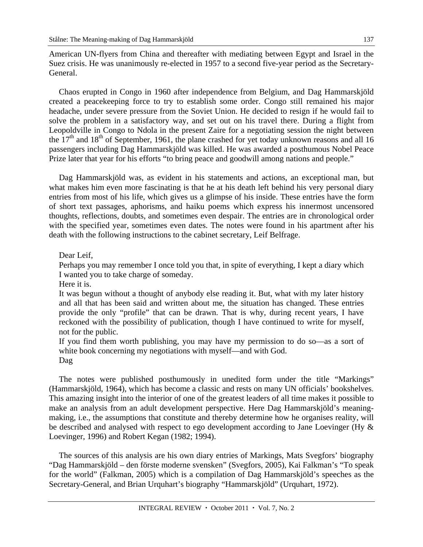American UN-flyers from China and thereafter with mediating between Egypt and Israel in the Suez crisis. He was unanimously re-elected in 1957 to a second five-year period as the Secretary-General.

Chaos erupted in Congo in 1960 after independence from Belgium, and Dag Hammarskjöld created a peacekeeping force to try to establish some order. Congo still remained his major headache, under severe pressure from the Soviet Union. He decided to resign if he would fail to solve the problem in a satisfactory way, and set out on his travel there. During a flight from Leopoldville in Congo to Ndola in the present Zaire for a negotiating session the night between the  $17<sup>th</sup>$  and  $18<sup>th</sup>$  of September, 1961, the plane crashed for yet today unknown reasons and all 16 passengers including Dag Hammarskjöld was killed. He was awarded a posthumous Nobel Peace Prize later that year for his efforts "to bring peace and goodwill among nations and people."

Dag Hammarskjöld was, as evident in his statements and actions, an exceptional man, but what makes him even more fascinating is that he at his death left behind his very personal diary entries from most of his life, which gives us a glimpse of his inside. These entries have the form of short text passages, aphorisms, and haiku poems which express his innermost uncensored thoughts, reflections, doubts, and sometimes even despair. The entries are in chronological order with the specified year, sometimes even dates. The notes were found in his apartment after his death with the following instructions to the cabinet secretary, Leif Belfrage.

Dear Leif,

Perhaps you may remember I once told you that, in spite of everything, I kept a diary which I wanted you to take charge of someday.

Here it is.

It was begun without a thought of anybody else reading it. But, what with my later history and all that has been said and written about me, the situation has changed. These entries provide the only "profile" that can be drawn. That is why, during recent years, I have reckoned with the possibility of publication, though I have continued to write for myself, not for the public.

If you find them worth publishing, you may have my permission to do so—as a sort of white book concerning my negotiations with myself—and with God.

Dag

The notes were published posthumously in unedited form under the title "Markings" (Hammarskjöld, 1964), which has become a classic and rests on many UN officials' bookshelves. This amazing insight into the interior of one of the greatest leaders of all time makes it possible to make an analysis from an adult development perspective. Here Dag Hammarskjöld's meaningmaking, i.e., the assumptions that constitute and thereby determine how he organises reality, will be described and analysed with respect to ego development according to Jane Loevinger (Hy & Loevinger, 1996) and Robert Kegan (1982; 1994).

The sources of this analysis are his own diary entries of Markings, Mats Svegfors' biography "Dag Hammarskjöld – den förste moderne svensken" (Svegfors, 2005), Kai Falkman's "To speak for the world" (Falkman, 2005) which is a compilation of Dag Hammarskjöld's speeches as the Secretary-General, and Brian Urquhart's biography "Hammarskjöld" (Urquhart, 1972).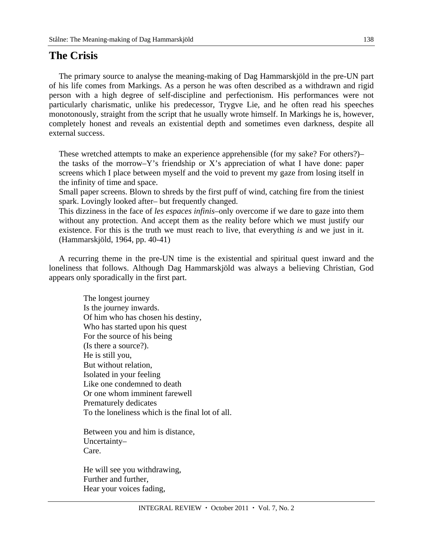#### **The Crisis**

The primary source to analyse the meaning-making of Dag Hammarskjöld in the pre-UN part of his life comes from Markings. As a person he was often described as a withdrawn and rigid person with a high degree of self-discipline and perfectionism. His performances were not particularly charismatic, unlike his predecessor, Trygve Lie, and he often read his speeches monotonously, straight from the script that he usually wrote himself. In Markings he is, however, completely honest and reveals an existential depth and sometimes even darkness, despite all external success.

These wretched attempts to make an experience apprehensible (for my sake? For others?)– the tasks of the morrow–Y's friendship or X's appreciation of what I have done: paper screens which I place between myself and the void to prevent my gaze from losing itself in the infinity of time and space.

Small paper screens. Blown to shreds by the first puff of wind, catching fire from the tiniest spark. Lovingly looked after– but frequently changed.

This dizziness in the face of *les espaces infinis*–only overcome if we dare to gaze into them without any protection. And accept them as the reality before which we must justify our existence. For this is the truth we must reach to live, that everything *is* and we just in it. (Hammarskjöld, 1964, pp. 40-41)

A recurring theme in the pre-UN time is the existential and spiritual quest inward and the loneliness that follows. Although Dag Hammarskjöld was always a believing Christian, God appears only sporadically in the first part.

> The longest journey Is the journey inwards. Of him who has chosen his destiny, Who has started upon his quest For the source of his being (Is there a source?). He is still you, But without relation, Isolated in your feeling Like one condemned to death Or one whom imminent farewell Prematurely dedicates To the loneliness which is the final lot of all.

Between you and him is distance, Uncertainty– Care.

He will see you withdrawing, Further and further, Hear your voices fading,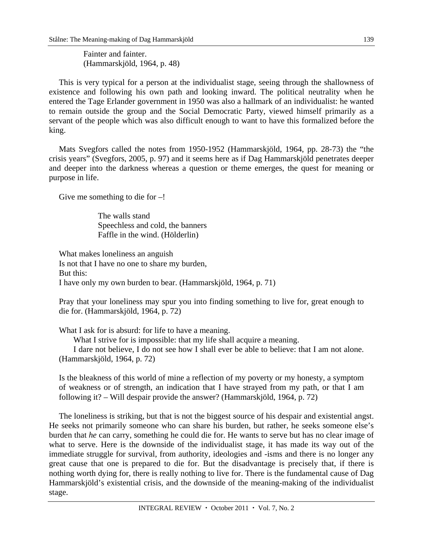Fainter and fainter. (Hammarskjöld, 1964, p. 48)

This is very typical for a person at the individualist stage, seeing through the shallowness of existence and following his own path and looking inward. The political neutrality when he entered the Tage Erlander government in 1950 was also a hallmark of an individualist: he wanted to remain outside the group and the Social Democratic Party, viewed himself primarily as a servant of the people which was also difficult enough to want to have this formalized before the king.

Mats Svegfors called the notes from 1950-1952 (Hammarskjöld, 1964, pp. 28-73) the "the crisis years" (Svegfors, 2005, p. 97) and it seems here as if Dag Hammarskjöld penetrates deeper and deeper into the darkness whereas a question or theme emerges, the quest for meaning or purpose in life.

Give me something to die for  $-!$ 

 The walls stand Speechless and cold, the banners Faffle in the wind. (Hölderlin)

What makes loneliness an anguish Is not that I have no one to share my burden, But this: I have only my own burden to bear. (Hammarskjöld, 1964, p. 71)

Pray that your loneliness may spur you into finding something to live for, great enough to die for. (Hammarskjöld, 1964, p. 72)

What I ask for is absurd: for life to have a meaning.

What I strive for is impossible: that my life shall acquire a meaning.

 I dare not believe, I do not see how I shall ever be able to believe: that I am not alone. (Hammarskjöld, 1964, p. 72)

Is the bleakness of this world of mine a reflection of my poverty or my honesty, a symptom of weakness or of strength, an indication that I have strayed from my path, or that I am following it? – Will despair provide the answer? (Hammarskjöld, 1964, p. 72)

The loneliness is striking, but that is not the biggest source of his despair and existential angst. He seeks not primarily someone who can share his burden, but rather, he seeks someone else's burden that *he* can carry, something he could die for. He wants to serve but has no clear image of what to serve. Here is the downside of the individualist stage, it has made its way out of the immediate struggle for survival, from authority, ideologies and -isms and there is no longer any great cause that one is prepared to die for. But the disadvantage is precisely that, if there is nothing worth dying for, there is really nothing to live for. There is the fundamental cause of Dag Hammarskjöld's existential crisis, and the downside of the meaning-making of the individualist stage.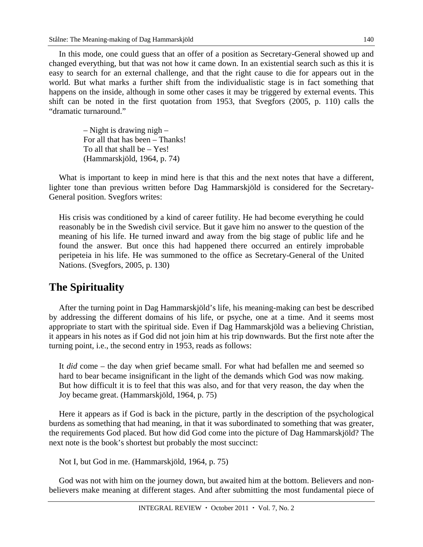In this mode, one could guess that an offer of a position as Secretary-General showed up and changed everything, but that was not how it came down. In an existential search such as this it is easy to search for an external challenge, and that the right cause to die for appears out in the world. But what marks a further shift from the individualistic stage is in fact something that happens on the inside, although in some other cases it may be triggered by external events. This shift can be noted in the first quotation from 1953, that Svegfors (2005, p. 110) calls the "dramatic turnaround."

> – Night is drawing nigh – For all that has been – Thanks! To all that shall be – Yes! (Hammarskjöld, 1964, p. 74)

What is important to keep in mind here is that this and the next notes that have a different, lighter tone than previous written before Dag Hammarskjöld is considered for the Secretary-General position. Svegfors writes:

His crisis was conditioned by a kind of career futility. He had become everything he could reasonably be in the Swedish civil service. But it gave him no answer to the question of the meaning of his life. He turned inward and away from the big stage of public life and he found the answer. But once this had happened there occurred an entirely improbable peripeteia in his life. He was summoned to the office as Secretary-General of the United Nations. (Svegfors, 2005, p. 130)

## **The Spirituality**

After the turning point in Dag Hammarskjöld's life, his meaning-making can best be described by addressing the different domains of his life, or psyche, one at a time. And it seems most appropriate to start with the spiritual side. Even if Dag Hammarskjöld was a believing Christian, it appears in his notes as if God did not join him at his trip downwards. But the first note after the turning point, i.e., the second entry in 1953, reads as follows:

It *did* come – the day when grief became small. For what had befallen me and seemed so hard to bear became insignificant in the light of the demands which God was now making. But how difficult it is to feel that this was also, and for that very reason, the day when the Joy became great. (Hammarskjöld, 1964, p. 75)

Here it appears as if God is back in the picture, partly in the description of the psychological burdens as something that had meaning, in that it was subordinated to something that was greater, the requirements God placed. But how did God come into the picture of Dag Hammarskjöld? The next note is the book's shortest but probably the most succinct:

Not I, but God in me. (Hammarskjöld, 1964, p. 75)

God was not with him on the journey down, but awaited him at the bottom. Believers and nonbelievers make meaning at different stages. And after submitting the most fundamental piece of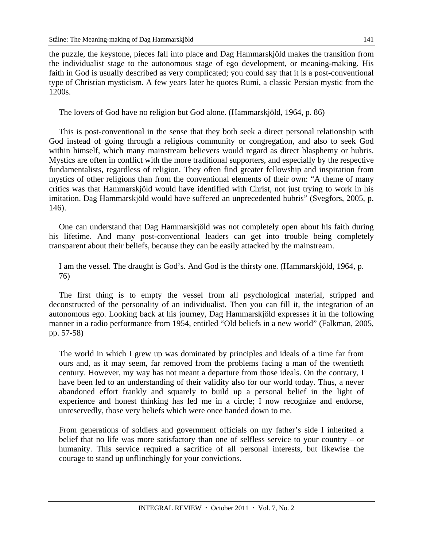the puzzle, the keystone, pieces fall into place and Dag Hammarskjöld makes the transition from the individualist stage to the autonomous stage of ego development, or meaning-making. His faith in God is usually described as very complicated; you could say that it is a post-conventional type of Christian mysticism. A few years later he quotes Rumi, a classic Persian mystic from the 1200s.

The lovers of God have no religion but God alone. (Hammarskjöld, 1964, p. 86)

This is post-conventional in the sense that they both seek a direct personal relationship with God instead of going through a religious community or congregation, and also to seek God within himself, which many mainstream believers would regard as direct blasphemy or hubris. Mystics are often in conflict with the more traditional supporters, and especially by the respective fundamentalists, regardless of religion. They often find greater fellowship and inspiration from mystics of other religions than from the conventional elements of their own: "A theme of many critics was that Hammarskjöld would have identified with Christ, not just trying to work in his imitation. Dag Hammarskjöld would have suffered an unprecedented hubris" (Svegfors, 2005, p. 146).

One can understand that Dag Hammarskjöld was not completely open about his faith during his lifetime. And many post-conventional leaders can get into trouble being completely transparent about their beliefs, because they can be easily attacked by the mainstream.

I am the vessel. The draught is God's. And God is the thirsty one. (Hammarskjöld, 1964, p. 76)

The first thing is to empty the vessel from all psychological material, stripped and deconstructed of the personality of an individualist. Then you can fill it, the integration of an autonomous ego. Looking back at his journey, Dag Hammarskjöld expresses it in the following manner in a radio performance from 1954, entitled "Old beliefs in a new world" (Falkman, 2005, pp. 57-58)

The world in which I grew up was dominated by principles and ideals of a time far from ours and, as it may seem, far removed from the problems facing a man of the twentieth century. However, my way has not meant a departure from those ideals. On the contrary, I have been led to an understanding of their validity also for our world today. Thus, a never abandoned effort frankly and squarely to build up a personal belief in the light of experience and honest thinking has led me in a circle; I now recognize and endorse, unreservedly, those very beliefs which were once handed down to me.

From generations of soldiers and government officials on my father's side I inherited a belief that no life was more satisfactory than one of selfless service to your country – or humanity. This service required a sacrifice of all personal interests, but likewise the courage to stand up unflinchingly for your convictions.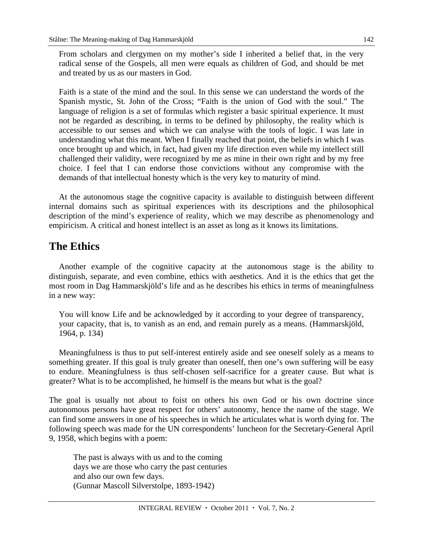From scholars and clergymen on my mother's side I inherited a belief that, in the very radical sense of the Gospels, all men were equals as children of God, and should be met and treated by us as our masters in God.

Faith is a state of the mind and the soul. In this sense we can understand the words of the Spanish mystic, St. John of the Cross; "Faith is the union of God with the soul." The language of religion is a set of formulas which register a basic spiritual experience. It must not be regarded as describing, in terms to be defined by philosophy, the reality which is accessible to our senses and which we can analyse with the tools of logic. I was late in understanding what this meant. When I finally reached that point, the beliefs in which I was once brought up and which, in fact, had given my life direction even while my intellect still challenged their validity, were recognized by me as mine in their own right and by my free choice. I feel that I can endorse those convictions without any compromise with the demands of that intellectual honesty which is the very key to maturity of mind.

At the autonomous stage the cognitive capacity is available to distinguish between different internal domains such as spiritual experiences with its descriptions and the philosophical description of the mind's experience of reality, which we may describe as phenomenology and empiricism. A critical and honest intellect is an asset as long as it knows its limitations.

### **The Ethics**

Another example of the cognitive capacity at the autonomous stage is the ability to distinguish, separate, and even combine, ethics with aesthetics. And it is the ethics that get the most room in Dag Hammarskjöld's life and as he describes his ethics in terms of meaningfulness in a new way:

You will know Life and be acknowledged by it according to your degree of transparency, your capacity, that is, to vanish as an end, and remain purely as a means. (Hammarskjöld, 1964, p. 134)

Meaningfulness is thus to put self-interest entirely aside and see oneself solely as a means to something greater. If this goal is truly greater than oneself, then one's own suffering will be easy to endure. Meaningfulness is thus self-chosen self-sacrifice for a greater cause. But what is greater? What is to be accomplished, he himself is the means but what is the goal?

The goal is usually not about to foist on others his own God or his own doctrine since autonomous persons have great respect for others' autonomy, hence the name of the stage. We can find some answers in one of his speeches in which he articulates what is worth dying for. The following speech was made for the UN correspondents' luncheon for the Secretary-General April 9, 1958, which begins with a poem:

 The past is always with us and to the coming days we are those who carry the past centuries and also our own few days. (Gunnar Mascoll Silverstolpe, 1893-1942)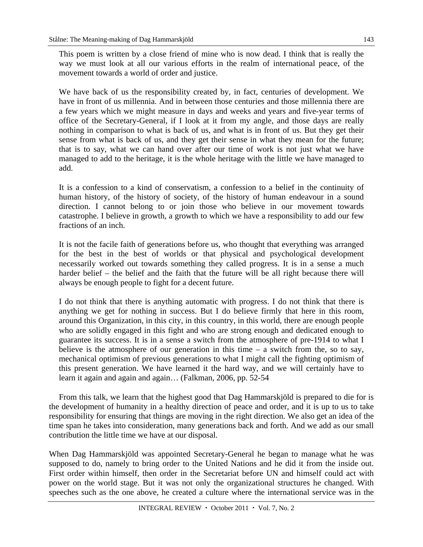This poem is written by a close friend of mine who is now dead. I think that is really the way we must look at all our various efforts in the realm of international peace, of the movement towards a world of order and justice.

We have back of us the responsibility created by, in fact, centuries of development. We have in front of us millennia. And in between those centuries and those millennia there are a few years which we might measure in days and weeks and years and five-year terms of office of the Secretary-General, if I look at it from my angle, and those days are really nothing in comparison to what is back of us, and what is in front of us. But they get their sense from what is back of us, and they get their sense in what they mean for the future; that is to say, what we can hand over after our time of work is not just what we have managed to add to the heritage, it is the whole heritage with the little we have managed to add.

It is a confession to a kind of conservatism, a confession to a belief in the continuity of human history, of the history of society, of the history of human endeavour in a sound direction. I cannot belong to or join those who believe in our movement towards catastrophe. I believe in growth, a growth to which we have a responsibility to add our few fractions of an inch.

It is not the facile faith of generations before us, who thought that everything was arranged for the best in the best of worlds or that physical and psychological development necessarily worked out towards something they called progress. It is in a sense a much harder belief – the belief and the faith that the future will be all right because there will always be enough people to fight for a decent future.

I do not think that there is anything automatic with progress. I do not think that there is anything we get for nothing in success. But I do believe firmly that here in this room, around this Organization, in this city, in this country, in this world, there are enough people who are solidly engaged in this fight and who are strong enough and dedicated enough to guarantee its success. It is in a sense a switch from the atmosphere of pre-1914 to what I believe is the atmosphere of our generation in this time – a switch from the, so to say, mechanical optimism of previous generations to what I might call the fighting optimism of this present generation. We have learned it the hard way, and we will certainly have to learn it again and again and again… (Falkman, 2006, pp. 52-54

From this talk, we learn that the highest good that Dag Hammarskjöld is prepared to die for is the development of humanity in a healthy direction of peace and order, and it is up to us to take responsibility for ensuring that things are moving in the right direction. We also get an idea of the time span he takes into consideration, many generations back and forth. And we add as our small contribution the little time we have at our disposal.

When Dag Hammarskjöld was appointed Secretary-General he began to manage what he was supposed to do, namely to bring order to the United Nations and he did it from the inside out. First order within himself, then order in the Secretariat before UN and himself could act with power on the world stage. But it was not only the organizational structures he changed. With speeches such as the one above, he created a culture where the international service was in the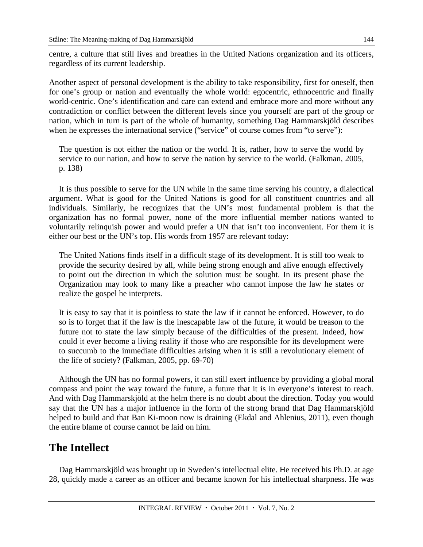centre, a culture that still lives and breathes in the United Nations organization and its officers, regardless of its current leadership.

Another aspect of personal development is the ability to take responsibility, first for oneself, then for one's group or nation and eventually the whole world: egocentric, ethnocentric and finally world-centric. One's identification and care can extend and embrace more and more without any contradiction or conflict between the different levels since you yourself are part of the group or nation, which in turn is part of the whole of humanity, something Dag Hammarskjöld describes when he expresses the international service ("service" of course comes from "to serve"):

The question is not either the nation or the world. It is, rather, how to serve the world by service to our nation, and how to serve the nation by service to the world. (Falkman, 2005, p. 138)

It is thus possible to serve for the UN while in the same time serving his country, a dialectical argument. What is good for the United Nations is good for all constituent countries and all individuals. Similarly, he recognizes that the UN's most fundamental problem is that the organization has no formal power, none of the more influential member nations wanted to voluntarily relinquish power and would prefer a UN that isn't too inconvenient. For them it is either our best or the UN's top. His words from 1957 are relevant today:

The United Nations finds itself in a difficult stage of its development. It is still too weak to provide the security desired by all, while being strong enough and alive enough effectively to point out the direction in which the solution must be sought. In its present phase the Organization may look to many like a preacher who cannot impose the law he states or realize the gospel he interprets.

It is easy to say that it is pointless to state the law if it cannot be enforced. However, to do so is to forget that if the law is the inescapable law of the future, it would be treason to the future not to state the law simply because of the difficulties of the present. Indeed, how could it ever become a living reality if those who are responsible for its development were to succumb to the immediate difficulties arising when it is still a revolutionary element of the life of society? (Falkman, 2005, pp. 69-70)

Although the UN has no formal powers, it can still exert influence by providing a global moral compass and point the way toward the future, a future that it is in everyone's interest to reach. And with Dag Hammarskjöld at the helm there is no doubt about the direction. Today you would say that the UN has a major influence in the form of the strong brand that Dag Hammarskjöld helped to build and that Ban Ki-moon now is draining (Ekdal and Ahlenius, 2011), even though the entire blame of course cannot be laid on him.

### **The Intellect**

Dag Hammarskjöld was brought up in Sweden's intellectual elite. He received his Ph.D. at age 28, quickly made a career as an officer and became known for his intellectual sharpness. He was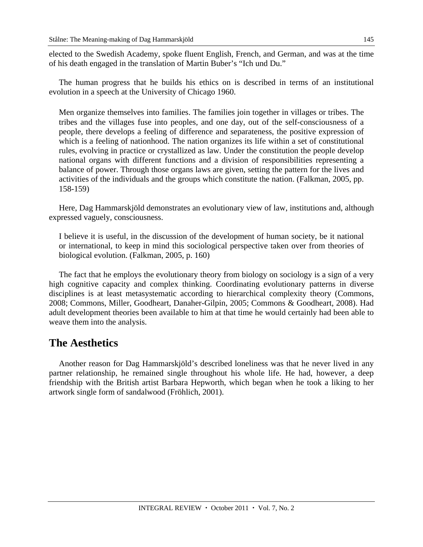elected to the Swedish Academy, spoke fluent English, French, and German, and was at the time of his death engaged in the translation of Martin Buber's "Ich und Du."

The human progress that he builds his ethics on is described in terms of an institutional evolution in a speech at the University of Chicago 1960.

Men organize themselves into families. The families join together in villages or tribes. The tribes and the villages fuse into peoples, and one day, out of the self-consciousness of a people, there develops a feeling of difference and separateness, the positive expression of which is a feeling of nationhood. The nation organizes its life within a set of constitutional rules, evolving in practice or crystallized as law. Under the constitution the people develop national organs with different functions and a division of responsibilities representing a balance of power. Through those organs laws are given, setting the pattern for the lives and activities of the individuals and the groups which constitute the nation. (Falkman, 2005, pp. 158-159)

Here, Dag Hammarskjöld demonstrates an evolutionary view of law, institutions and, although expressed vaguely, consciousness.

I believe it is useful, in the discussion of the development of human society, be it national or international, to keep in mind this sociological perspective taken over from theories of biological evolution. (Falkman, 2005, p. 160)

The fact that he employs the evolutionary theory from biology on sociology is a sign of a very high cognitive capacity and complex thinking. Coordinating evolutionary patterns in diverse disciplines is at least metasystematic according to hierarchical complexity theory (Commons, 2008; Commons, Miller, Goodheart, Danaher-Gilpin, 2005; Commons & Goodheart, 2008). Had adult development theories been available to him at that time he would certainly had been able to weave them into the analysis.

#### **The Aesthetics**

Another reason for Dag Hammarskjöld's described loneliness was that he never lived in any partner relationship, he remained single throughout his whole life. He had, however, a deep friendship with the British artist Barbara Hepworth, which began when he took a liking to her artwork single form of sandalwood (Fröhlich, 2001).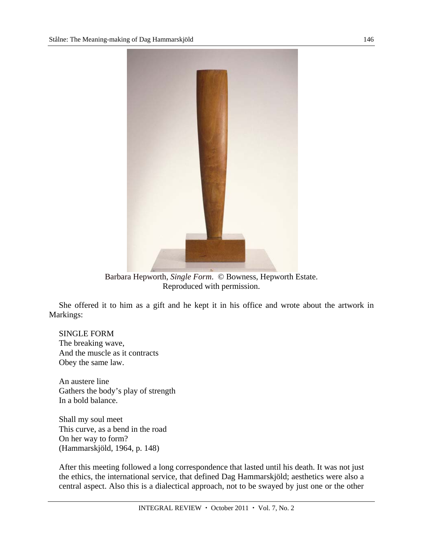

 Barbara Hepworth, *Single Form*. © Bowness, Hepworth Estate. Reproduced with permission.

She offered it to him as a gift and he kept it in his office and wrote about the artwork in Markings:

SINGLE FORM The breaking wave, And the muscle as it contracts Obey the same law.

An austere line Gathers the body's play of strength In a bold balance.

Shall my soul meet This curve, as a bend in the road On her way to form? (Hammarskjöld, 1964, p. 148)

After this meeting followed a long correspondence that lasted until his death. It was not just the ethics, the international service, that defined Dag Hammarskjöld; aesthetics were also a central aspect. Also this is a dialectical approach, not to be swayed by just one or the other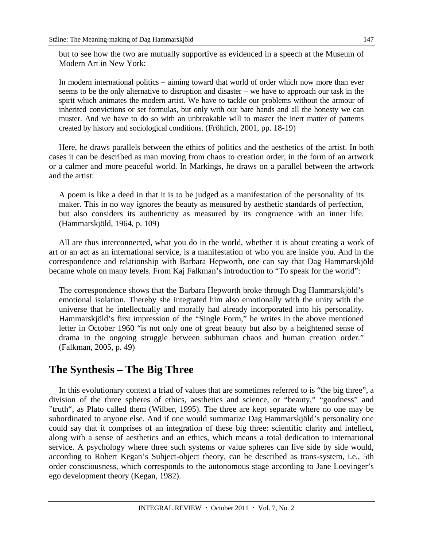but to see how the two are mutually supportive as evidenced in a speech at the Museum of Modern Art in New York:

In modern international politics – aiming toward that world of order which now more than ever seems to be the only alternative to disruption and disaster – we have to approach our task in the spirit which animates the modern artist. We have to tackle our problems without the armour of inherited convictions or set formulas, but only with our bare hands and all the honesty we can muster. And we have to do so with an unbreakable will to master the inert matter of patterns created by history and sociological conditions. (Fröhlich, 2001, pp. 18-19)

Here, he draws parallels between the ethics of politics and the aesthetics of the artist. In both cases it can be described as man moving from chaos to creation order, in the form of an artwork or a calmer and more peaceful world. In Markings, he draws on a parallel between the artwork and the artist:

A poem is like a deed in that it is to be judged as a manifestation of the personality of its maker. This in no way ignores the beauty as measured by aesthetic standards of perfection, but also considers its authenticity as measured by its congruence with an inner life. (Hammarskjöld, 1964, p. 109)

All are thus interconnected, what you do in the world, whether it is about creating a work of art or an act as an international service, is a manifestation of who you are inside you. And in the correspondence and relationship with Barbara Hepworth, one can say that Dag Hammarskjöld became whole on many levels. From Kaj Falkman's introduction to "To speak for the world":

The correspondence shows that the Barbara Hepworth broke through Dag Hammarskjöld's emotional isolation. Thereby she integrated him also emotionally with the unity with the universe that he intellectually and morally had already incorporated into his personality. Hammarskjöld's first impression of the "Single Form," he writes in the above mentioned letter in October 1960 "is not only one of great beauty but also by a heightened sense of drama in the ongoing struggle between subhuman chaos and human creation order." (Falkman, 2005, p. 49)

## **The Synthesis – The Big Three**

In this evolutionary context a triad of values that are sometimes referred to is "the big three", a division of the three spheres of ethics, aesthetics and science, or "beauty," "goodness" and "truth", as Plato called them (Wilber, 1995). The three are kept separate where no one may be subordinated to anyone else. And if one would summarize Dag Hammarskjöld's personality one could say that it comprises of an integration of these big three: scientific clarity and intellect, along with a sense of aesthetics and an ethics, which means a total dedication to international service. A psychology where three such systems or value spheres can live side by side would, according to Robert Kegan's Subject-object theory, can be described as trans-system, i.e., 5th order consciousness, which corresponds to the autonomous stage according to Jane Loevinger's ego development theory (Kegan, 1982).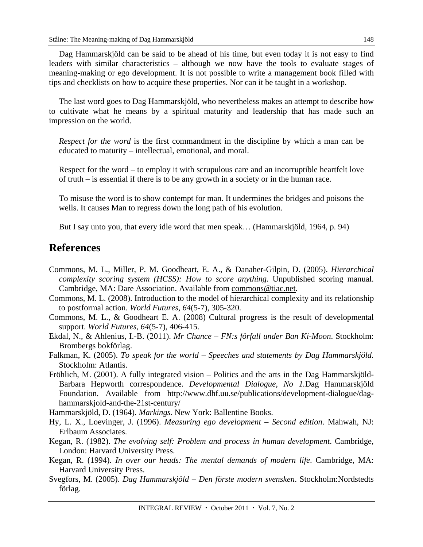Dag Hammarskjöld can be said to be ahead of his time, but even today it is not easy to find leaders with similar characteristics – although we now have the tools to evaluate stages of meaning-making or ego development. It is not possible to write a management book filled with tips and checklists on how to acquire these properties. Nor can it be taught in a workshop.

The last word goes to Dag Hammarskjöld, who nevertheless makes an attempt to describe how to cultivate what he means by a spiritual maturity and leadership that has made such an impression on the world.

*Respect for the word* is the first commandment in the discipline by which a man can be educated to maturity – intellectual, emotional, and moral.

Respect for the word – to employ it with scrupulous care and an incorruptible heartfelt love of truth – is essential if there is to be any growth in a society or in the human race.

To misuse the word is to show contempt for man. It undermines the bridges and poisons the wells. It causes Man to regress down the long path of his evolution.

But I say unto you, that every idle word that men speak… (Hammarskjöld, 1964, p. 94)

#### **References**

- Commons, M. L., Miller, P. M. Goodheart, E. A., & Danaher-Gilpin, D. (2005). *Hierarchical complexity scoring system (HCSS): How to score anything*. Unpublished scoring manual. Cambridge, MA: Dare Association. Available from commons@tiac.net.
- Commons, M. L. (2008). Introduction to the model of hierarchical complexity and its relationship to postformal action. *World Futures, 64*(5-7), 305-320.
- Commons, M. L., & Goodheart E. A. (2008) Cultural progress is the result of developmental support. *World Futures, 64*(5-7), 406-415.
- Ekdal, N., & Ahlenius, I.-B. (2011). *Mr Chance FN:s förfall under Ban Ki-Moon*. Stockholm: Brombergs bokförlag.
- Falkman, K. (2005). *To speak for the world Speeches and statements by Dag Hammarskjöld.* Stockholm: Atlantis.
- Fröhlich, M. (2001). A fully integrated vision Politics and the arts in the Dag Hammarskjöld-Barbara Hepworth correspondence. *Developmental Dialogue, No 1.*Dag Hammarskjöld Foundation. Available from http://www.dhf.uu.se/publications/development-dialogue/daghammarskjold-and-the-21st-century/

Hammarskjöld, D. (1964). *Markings.* New York: Ballentine Books.

- Hy, L. X., Loevinger, J. (1996). *Measuring ego development Second edition*. Mahwah, NJ: Erlbaum Associates.
- Kegan, R. (1982). *The evolving self: Problem and process in human development*. Cambridge, London: Harvard University Press.
- Kegan, R. (1994). *In over our heads: The mental demands of modern life*. Cambridge, MA: Harvard University Press.
- Svegfors, M. (2005). *Dag Hammarskjöld Den förste modern svensken*. Stockholm:Nordstedts förlag.